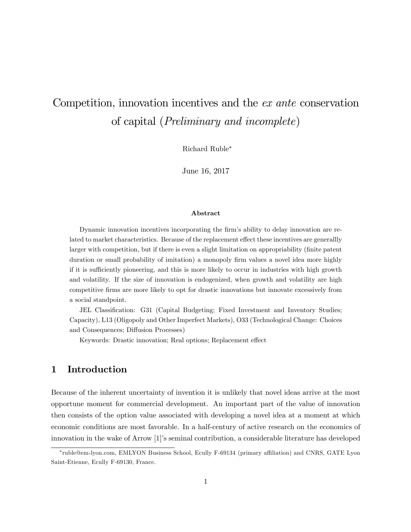# Competition, innovation incentives and the ex ante conservation of capital (Preliminary and incomplete)

Richard Ruble

June 16, 2017

#### Abstract

Dynamic innovation incentives incorporating the firm's ability to delay innovation are related to market characteristics. Because of the replacement effect these incentives are generally larger with competition, but if there is even a slight limitation on appropriability (finite patent duration or small probability of imitation) a monopoly firm values a novel idea more highly if it is sufficiently pioneering, and this is more likely to occur in industries with high growth and volatility. If the size of innovation is endogenized, when growth and volatility are high competitive Örms are more likely to opt for drastic innovations but innovate excessively from a social standpoint.

JEL Classification: G31 (Capital Budgeting; Fixed Investment and Inventory Studies; Capacity), L13 (Oligopoly and Other Imperfect Markets), O33 (Technological Change: Choices and Consequences; Diffusion Processes)

Keywords: Drastic innovation; Real options; Replacement effect

## 1 Introduction

Because of the inherent uncertainty of invention it is unlikely that novel ideas arrive at the most opportune moment for commercial development. An important part of the value of innovation then consists of the option value associated with developing a novel idea at a moment at which economic conditions are most favorable. In a half-century of active research on the economics of innovation in the wake of Arrow [1]ís seminal contribution, a considerable literature has developed

ruble@em-lyon.com, EMLYON Business School, Ecully F-69134 (primary a¢ liation) and CNRS, GATE Lyon Saint-Etienne, Ecully F-69130, France.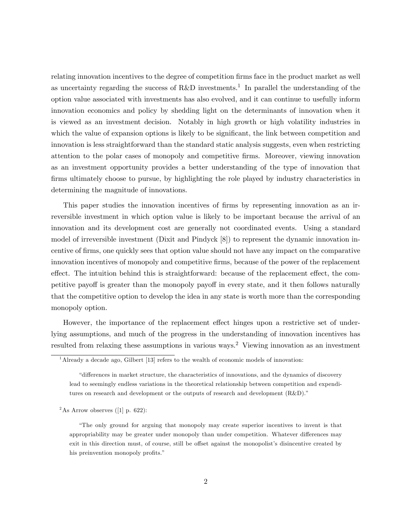relating innovation incentives to the degree of competition firms face in the product market as well as uncertainty regarding the success of R&D investments.<sup>1</sup> In parallel the understanding of the option value associated with investments has also evolved, and it can continue to usefully inform innovation economics and policy by shedding light on the determinants of innovation when it is viewed as an investment decision. Notably in high growth or high volatility industries in which the value of expansion options is likely to be significant, the link between competition and innovation is less straightforward than the standard static analysis suggests, even when restricting attention to the polar cases of monopoly and competitive Örms. Moreover, viewing innovation as an investment opportunity provides a better understanding of the type of innovation that firms ultimately choose to pursue, by highlighting the role played by industry characteristics in determining the magnitude of innovations.

This paper studies the innovation incentives of firms by representing innovation as an irreversible investment in which option value is likely to be important because the arrival of an innovation and its development cost are generally not coordinated events. Using a standard model of irreversible investment (Dixit and Pindyck [8]) to represent the dynamic innovation incentive of Örms, one quickly sees that option value should not have any impact on the comparative innovation incentives of monopoly and competitive firms, because of the power of the replacement effect. The intuition behind this is straightforward: because of the replacement effect, the competitive payoff is greater than the monopoly payoff in every state, and it then follows naturally that the competitive option to develop the idea in any state is worth more than the corresponding monopoly option.

However, the importance of the replacement effect hinges upon a restrictive set of underlying assumptions, and much of the progress in the understanding of innovation incentives has resulted from relaxing these assumptions in various ways.<sup>2</sup> Viewing innovation as an investment

<sup>2</sup>As Arrow observes ([1] p. 622):

<sup>&</sup>lt;sup>1</sup>Already a decade ago, Gilbert [13] refers to the wealth of economic models of innovation:

ìdi§erences in market structure, the characteristics of innovations, and the dynamics of discovery lead to seemingly endless variations in the theoretical relationship between competition and expenditures on research and development or the outputs of research and development  $(R&D)$ .

ìThe only ground for arguing that monopoly may create superior incentives to invent is that appropriability may be greater under monopoly than under competition. Whatever differences may exit in this direction must, of course, still be offset against the monopolist's disincentive created by his preinvention monopoly profits."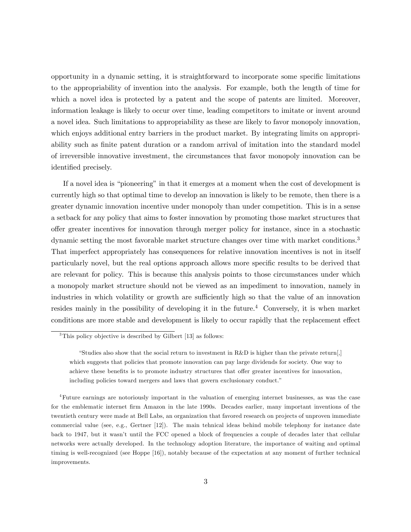opportunity in a dynamic setting, it is straightforward to incorporate some specific limitations to the appropriability of invention into the analysis. For example, both the length of time for which a novel idea is protected by a patent and the scope of patents are limited. Moreover, information leakage is likely to occur over time, leading competitors to imitate or invent around a novel idea. Such limitations to appropriability as these are likely to favor monopoly innovation, which enjoys additional entry barriers in the product market. By integrating limits on appropriability such as finite patent duration or a random arrival of imitation into the standard model of irreversible innovative investment, the circumstances that favor monopoly innovation can be identified precisely.

If a novel idea is "pioneering" in that it emerges at a moment when the cost of development is currently high so that optimal time to develop an innovation is likely to be remote, then there is a greater dynamic innovation incentive under monopoly than under competition. This is in a sense a setback for any policy that aims to foster innovation by promoting those market structures that o§er greater incentives for innovation through merger policy for instance, since in a stochastic dynamic setting the most favorable market structure changes over time with market conditions.<sup>3</sup> That imperfect appropriately has consequences for relative innovation incentives is not in itself particularly novel, but the real options approach allows more specific results to be derived that are relevant for policy. This is because this analysis points to those circumstances under which a monopoly market structure should not be viewed as an impediment to innovation, namely in industries in which volatility or growth are sufficiently high so that the value of an innovation resides mainly in the possibility of developing it in the future.<sup>4</sup> Conversely, it is when market conditions are more stable and development is likely to occur rapidly that the replacement effect

<sup>&</sup>lt;sup>3</sup>This policy objective is described by Gilbert [13] as follows:

<sup>&</sup>quot;Studies also show that the social return to investment in  $R\&D$  is higher than the private return. which suggests that policies that promote innovation can pay large dividends for society. One way to achieve these benefits is to promote industry structures that offer greater incentives for innovation, including policies toward mergers and laws that govern exclusionary conduct."

<sup>4</sup>Future earnings are notoriously important in the valuation of emerging internet businesses, as was the case for the emblematic internet Örm Amazon in the late 1990s. Decades earlier, many important inventions of the twentieth century were made at Bell Labs, an organization that favored research on projects of unproven immediate commercial value (see, e.g., Gertner [12]). The main tehnical ideas behind mobile telephony for instance date back to 1947, but it wasnít until the FCC opened a block of frequencies a couple of decades later that cellular networks were actually developed. In the technology adoption literature, the importance of waiting and optimal timing is well-recognized (see Hoppe [16]), notably because of the expectation at any moment of further technical improvements.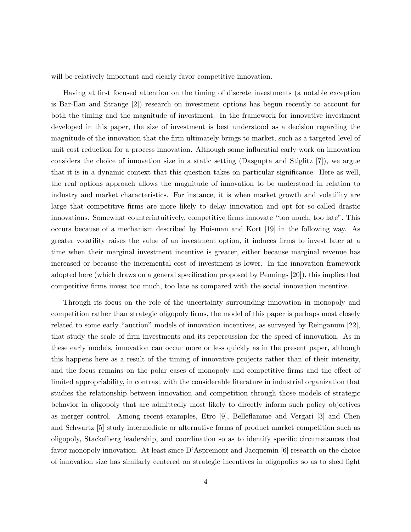will be relatively important and clearly favor competitive innovation.

Having at first focused attention on the timing of discrete investments (a notable exception is Bar-Ilan and Strange [2]) research on investment options has begun recently to account for both the timing and the magnitude of investment. In the framework for innovative investment developed in this paper, the size of investment is best understood as a decision regarding the magnitude of the innovation that the firm ultimately brings to market, such as a targeted level of unit cost reduction for a process innovation. Although some ináuential early work on innovation considers the choice of innovation size in a static setting (Dasgupta and Stiglitz [7]), we argue that it is in a dynamic context that this question takes on particular significance. Here as well, the real options approach allows the magnitude of innovation to be understood in relation to industry and market characteristics. For instance, it is when market growth and volatility are large that competitive firms are more likely to delay innovation and opt for so-called drastic innovations. Somewhat counterintuitively, competitive firms innovate "too much, too late". This occurs because of a mechanism described by Huisman and Kort [19] in the following way. As greater volatility raises the value of an investment option, it induces firms to invest later at a time when their marginal investment incentive is greater, either because marginal revenue has increased or because the incremental cost of investment is lower. In the innovation framework adopted here (which draws on a general specification proposed by Pennings [20]), this implies that competitive Örms invest too much, too late as compared with the social innovation incentive.

Through its focus on the role of the uncertainty surrounding innovation in monopoly and competition rather than strategic oligopoly Örms, the model of this paper is perhaps most closely related to some early "auction" models of innovation incentives, as surveyed by Reinganum  $[22]$ , that study the scale of firm investments and its repercussion for the speed of innovation. As in these early models, innovation can occur more or less quickly as in the present paper, although this happens here as a result of the timing of innovative projects rather than of their intensity, and the focus remains on the polar cases of monopoly and competitive firms and the effect of limited appropriability, in contrast with the considerable literature in industrial organization that studies the relationship between innovation and competition through those models of strategic behavior in oligopoly that are admittedly most likely to directly inform such policy objectives as merger control. Among recent examples, Etro [9], Belleáamme and Vergari [3] and Chen and Schwartz [5] study intermediate or alternative forms of product market competition such as oligopoly, Stackelberg leadership, and coordination so as to identify specific circumstances that favor monopoly innovation. At least since D'Aspremont and Jacquemin [6] research on the choice of innovation size has similarly centered on strategic incentives in oligopolies so as to shed light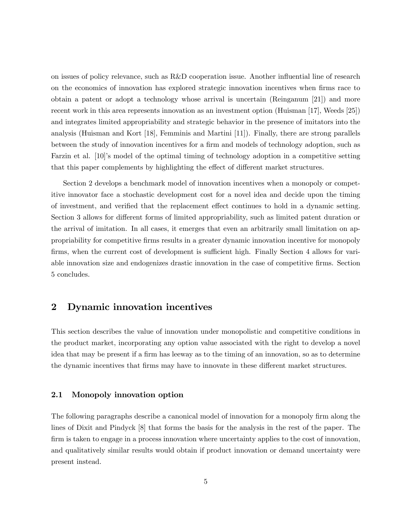on issues of policy relevance, such as R&D cooperation issue. Another influential line of research on the economics of innovation has explored strategic innovation incentives when firms race to obtain a patent or adopt a technology whose arrival is uncertain (Reinganum [21]) and more recent work in this area represents innovation as an investment option (Huisman [17], Weeds [25]) and integrates limited appropriability and strategic behavior in the presence of imitators into the analysis (Huisman and Kort [18], Femminis and Martini [11]). Finally, there are strong parallels between the study of innovation incentives for a firm and models of technology adoption, such as Farzin et al. [10]'s model of the optimal timing of technology adoption in a competitive setting that this paper complements by highlighting the effect of different market structures.

Section 2 develops a benchmark model of innovation incentives when a monopoly or competitive innovator face a stochastic development cost for a novel idea and decide upon the timing of investment, and verified that the replacement effect continues to hold in a dynamic setting. Section 3 allows for different forms of limited appropriability, such as limited patent duration or the arrival of imitation. In all cases, it emerges that even an arbitrarily small limitation on appropriability for competitive Örms results in a greater dynamic innovation incentive for monopoly firms, when the current cost of development is sufficient high. Finally Section 4 allows for variable innovation size and endogenizes drastic innovation in the case of competitive firms. Section 5 concludes.

## 2 Dynamic innovation incentives

This section describes the value of innovation under monopolistic and competitive conditions in the product market, incorporating any option value associated with the right to develop a novel idea that may be present if a firm has leeway as to the timing of an innovation, so as to determine the dynamic incentives that firms may have to innovate in these different market structures.

#### 2.1 Monopoly innovation option

The following paragraphs describe a canonical model of innovation for a monopoly firm along the lines of Dixit and Pindyck [8] that forms the basis for the analysis in the rest of the paper. The firm is taken to engage in a process innovation where uncertainty applies to the cost of innovation, and qualitatively similar results would obtain if product innovation or demand uncertainty were present instead.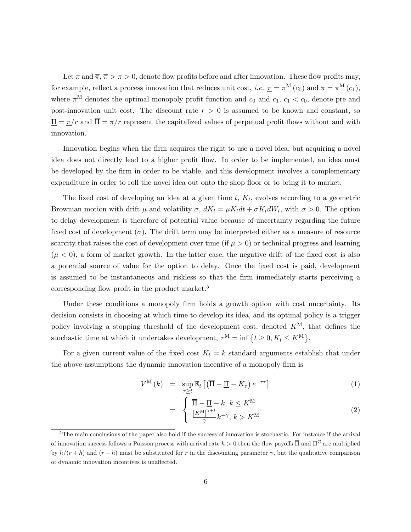Let  $\underline{\pi}$  and  $\overline{\pi}$ ,  $\overline{\pi} > \underline{\pi} > 0$ , denote flow profits before and after innovation. These flow profits may, for example, reflect a process innovation that reduces unit cost, *i.e.*  $\pi = \pi^{\mathbf{M}}(c_0)$  and  $\overline{\pi} = \pi^{\mathbf{M}}(c_1)$ , where  $\pi^{\text{M}}$  denotes the optimal monopoly profit function and  $c_0$  and  $c_1, c_1 < c_0$ , denote pre and post-innovation unit cost. The discount rate  $r > 0$  is assumed to be known and constant, so  $\overline{\Pi} = \pi/r$  and  $\overline{\Pi} = \overline{\pi}/r$  represent the capitalized values of perpetual profit flows without and with innovation.

Innovation begins when the firm acquires the right to use a novel idea, but acquiring a novel idea does not directly lead to a higher profit flow. In order to be implemented, an idea must be developed by the firm in order to be viable, and this development involves a complementary expenditure in order to roll the novel idea out onto the shop floor or to bring it to market.

The fixed cost of developing an idea at a given time  $t, K_t$ , evolves according to a geometric Brownian motion with drift  $\mu$  and volatility  $\sigma$ ,  $dK_t = \mu K_t dt + \sigma K_t dW_t$ , with  $\sigma > 0$ . The option to delay development is therefore of potential value because of uncertainty regarding the future fixed cost of development  $(\sigma)$ . The drift term may be interpreted either as a measure of resource scarcity that raises the cost of development over time (if  $\mu > 0$ ) or technical progress and learning  $(\mu < 0)$ , a form of market growth. In the latter case, the negative drift of the fixed cost is also a potential source of value for the option to delay. Once the Öxed cost is paid, development is assumed to be instantaneous and riskless so that the Örm immediately starts perceiving a corresponding flow profit in the product market.<sup>5</sup>

Under these conditions a monopoly firm holds a growth option with cost uncertainty. Its decision consists in choosing at which time to develop its idea, and its optimal policy is a trigger policy involving a stopping threshold of the development cost, denoted  $K^{\text{M}}$ , that defines the stochastic time at which it undertakes development,  $\tau^{\mathbf{M}} = \inf \{ t \ge 0, K_t \le K^{\mathbf{M}} \}.$ 

For a given current value of the fixed cost  $K_t = k$  standard arguments establish that under the above assumptions the dynamic innovation incentive of a monopoly firm is

$$
V^{\mathcal{M}}(k) = \sup_{\tau \ge t} \mathbb{E}_t \left[ \left( \overline{\Pi} - \underline{\Pi} - K_{\tau} \right) e^{-r\tau} \right] \tag{1}
$$

$$
= \begin{cases} \overline{\Pi} - \underline{\Pi} - k, \, k \le K^{\mathcal{M}} \\ \frac{[K^{\mathcal{M}}]^{\gamma+1}}{\gamma} k^{-\gamma}, \, k > K^{\mathcal{M}} \end{cases} \tag{2}
$$

<sup>&</sup>lt;sup>5</sup>The main conclusions of the paper also hold if the success of innovation is stochastic. For instance if the arrival of innovation success follows a Poisson process with arrival rate  $h > 0$  then the flow payoffs  $\overline{\Pi}$  and  $\Pi^C$  are multiplied by  $h/(r + h)$  and  $(r + h)$  must be substituted for r in the discounting parameter  $\gamma$ , but the qualitative comparison of dynamic innovation incentives is unaffected.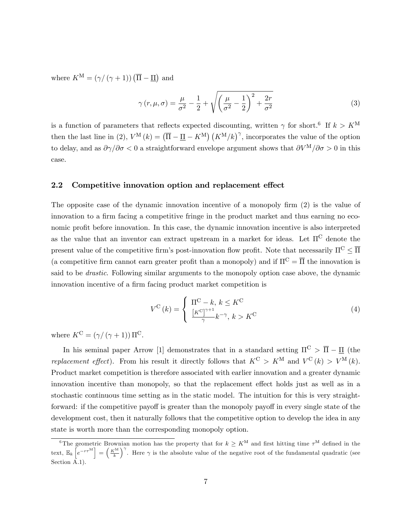where  $K^{\text{M}} = (\gamma / (\gamma + 1)) (\overline{\Pi} - \underline{\Pi})$  and

$$
\gamma(r,\mu,\sigma) = \frac{\mu}{\sigma^2} - \frac{1}{2} + \sqrt{\left(\frac{\mu}{\sigma^2} - \frac{1}{2}\right)^2 + \frac{2r}{\sigma^2}}
$$
(3)

is a function of parameters that reflects expected discounting, written  $\gamma$  for short.<sup>6</sup> If  $k > K^{\text{M}}$ then the last line in (2),  $V^{\mathcal{M}}(k) = (\overline{\Pi} - \underline{\Pi} - K^{\mathcal{M}}) (K^{\mathcal{M}}/k)^{\gamma}$ , incorporates the value of the option to delay, and as  $\partial \gamma/\partial \sigma < 0$  a straightforward envelope argument shows that  $\partial V^M/\partial \sigma > 0$  in this case.

#### 2.2 Competitive innovation option and replacement effect

The opposite case of the dynamic innovation incentive of a monopoly firm  $(2)$  is the value of innovation to a firm facing a competitive fringe in the product market and thus earning no economic profit before innovation. In this case, the dynamic innovation incentive is also interpreted as the value that an inventor can extract upstream in a market for ideas. Let  $\Pi^C$  denote the present value of the competitive firm's post-innovation flow profit. Note that necessarily  $\Pi^C \leq \overline{\Pi}$ (a competitive firm cannot earn greater profit than a monopoly) and if  $\Pi^C = \overline{\Pi}$  the innovation is said to be drastic. Following similar arguments to the monopoly option case above, the dynamic innovation incentive of a firm facing product market competition is

$$
V^{C}(k) = \begin{cases} \n\Pi^{C} - k, \, k \leq K^{C} \\
\frac{[K^{C}]^{\gamma+1}}{\gamma} k^{-\gamma}, \, k > K^{C}\n\end{cases}
$$
\n(4)

where  $K^{\text{C}} = (\gamma/(\gamma+1)) \Pi^{\text{C}}$ .

In his seminal paper Arrow [1] demonstrates that in a standard setting  $\Pi^C > \overline{\Pi} - \Pi$  (the replacement effect). From his result it directly follows that  $K^{\mathbb{C}} > K^{\mathbb{M}}$  and  $V^{\mathbb{C}}(k) > V^{\mathbb{M}}(k)$ . Product market competition is therefore associated with earlier innovation and a greater dynamic innovation incentive than monopoly, so that the replacement effect holds just as well as in a stochastic continuous time setting as in the static model. The intuition for this is very straightforward: if the competitive payoff is greater than the monopoly payoff in every single state of the development cost, then it naturally follows that the competitive option to develop the idea in any state is worth more than the corresponding monopoly option.

<sup>&</sup>lt;sup>6</sup>The geometric Brownian motion has the property that for  $k \geq K^{\mathrm{M}}$  and first hitting time  $\tau^{\mathrm{M}}$  defined in the text,  $\mathbb{E}_k \left[ e^{-r\tau^M} \right] = \left( \frac{K^M}{k} \right)^\gamma$ . Here  $\gamma$  is the absolute value of the negative root of the fundamental quadratic (see Section A.1).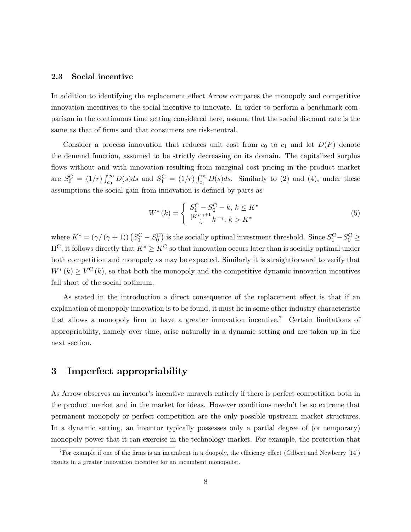#### 2.3 Social incentive

In addition to identifying the replacement effect Arrow compares the monopoly and competitive innovation incentives to the social incentive to innovate. In order to perform a benchmark comparison in the continuous time setting considered here, assume that the social discount rate is the same as that of firms and that consumers are risk-neutral.

Consider a process innovation that reduces unit cost from  $c_0$  to  $c_1$  and let  $D(P)$  denote the demand function, assumed to be strictly decreasing on its domain. The capitalized surplus flows without and with innovation resulting from marginal cost pricing in the product market are  $S_0^C = (1/r) \int_{c_0}^{\infty} D(s)ds$  and  $S_1^C = (1/r) \int_{c_1}^{\infty} D(s)ds$ . Similarly to (2) and (4), under these assumptions the social gain from innovation is defined by parts as

$$
W^*(k) = \begin{cases} S_1^{\text{C}} - S_0^{\text{C}} - k, \, k \le K^*\\ \frac{[K^*]^{\gamma+1}}{\gamma} k^{-\gamma}, \, k > K^* \end{cases} \tag{5}
$$

where  $K^* = (\gamma/(\gamma+1)) (S_1^C - S_0^C)$  is the socially optimal investment threshold. Since  $S_1^C - S_0^C \ge$  $\Pi^C$ , it follows directly that  $K^* \geq K^C$  so that innovation occurs later than is socially optimal under both competition and monopoly as may be expected. Similarly it is straightforward to verify that  $W^*(k) \geq V^{\mathcal{C}}(k)$ , so that both the monopoly and the competitive dynamic innovation incentives fall short of the social optimum.

As stated in the introduction a direct consequence of the replacement effect is that if an explanation of monopoly innovation is to be found, it must lie in some other industry characteristic that allows a monopoly firm to have a greater innovation incentive.<sup>7</sup> Certain limitations of appropriability, namely over time, arise naturally in a dynamic setting and are taken up in the next section.

## 3 Imperfect appropriability

As Arrow observes an inventor's incentive unravels entirely if there is perfect competition both in the product market and in the market for ideas. However conditions neednít be so extreme that permanent monopoly or perfect competition are the only possible upstream market structures. In a dynamic setting, an inventor typically possesses only a partial degree of (or temporary) monopoly power that it can exercise in the technology market. For example, the protection that

<sup>&</sup>lt;sup>7</sup>For example if one of the firms is an incumbent in a duopoly, the efficiency effect (Gilbert and Newberry  $[14]$ ) results in a greater innovation incentive for an incumbent monopolist.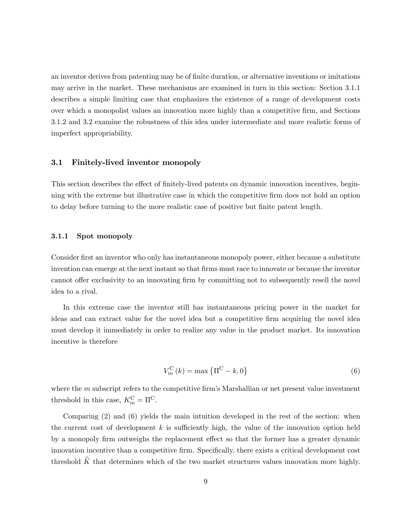an inventor derives from patenting may be of finite duration, or alternative inventions or imitations may arrive in the market. These mechanisms are examined in turn in this section: Section 3.1.1 describes a simple limiting case that emphasizes the existence of a range of development costs over which a monopolist values an innovation more highly than a competitive Örm, and Sections 3.1.2 and 3.2 examine the robustness of this idea under intermediate and more realistic forms of imperfect appropriability.

#### 3.1 Finitely-lived inventor monopoly

This section describes the effect of finitely-lived patents on dynamic innovation incentives, beginning with the extreme but illustrative case in which the competitive Örm does not hold an option to delay before turning to the more realistic case of positive but Önite patent length.

#### 3.1.1 Spot monopoly

Consider first an inventor who only has instantaneous monopoly power, either because a substitute invention can emerge at the next instant so that firms must race to innovate or because the inventor cannot offer exclusivity to an innovating firm by committing not to subsequently resell the novel idea to a rival.

In this extreme case the inventor still has instantaneous pricing power in the market for ideas and can extract value for the novel idea but a competitive firm acquiring the novel idea must develop it immediately in order to realize any value in the product market. Its innovation incentive is therefore

$$
V_m^{\mathcal{C}}(k) = \max\left\{ \Pi^{\mathcal{C}} - k, 0 \right\} \tag{6}
$$

where the  $m$  subscript refers to the competitive firm's Marshallian or net present value investment threshold in this case,  $K_m^{\text{C}} = \Pi^{\text{C}}$ .

Comparing (2) and (6) yields the main intuition developed in the rest of the section: when the current cost of development  $k$  is sufficiently high, the value of the innovation option held by a monopoly firm outweighs the replacement effect so that the former has a greater dynamic innovation incentive than a competitive firm. Specifically, there exists a critical development cost threshold  $\widehat{K}$  that determines which of the two market structures values innovation more highly.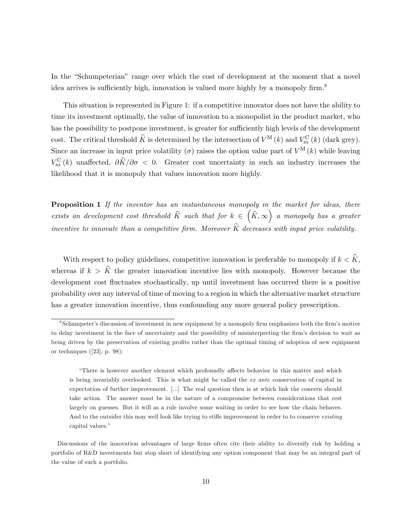In the "Schumpeterian" range over which the cost of development at the moment that a novel idea arrives is sufficiently high, innovation is valued more highly by a monopoly firm.<sup>8</sup>

This situation is represented in Figure 1: if a competitive innovator does not have the ability to time its investment optimally, the value of innovation to a monopolist in the product market, who has the possibility to postpone investment, is greater for sufficiently high levels of the development cost. The critical threshold  $\widehat{K}$  is determined by the intersection of  $V^{\mathrm{M}}(k)$  and  $V_{m}^{\mathrm{C}}(k)$  (dark grey). Since an increase in input price volatility ( $\sigma$ ) raises the option value part of  $V^{\mathcal{M}}(k)$  while leaving  $V_m^{\text{C}}(k)$  unaffected,  $\partial \hat{K}/\partial \sigma < 0$ . Greater cost uncertainty in such an industry increases the likelihood that it is monopoly that values innovation more highly.

**Proposition 1** If the inventor has an instantaneous monopoly in the market for ideas, there exists an development cost threshold  $\widehat{K}$  such that for  $k \in \left(\widehat{K}, \infty\right)$  a monopoly has a greater incentive to innovate than a competitive firm. Moreover  $\hat{K}$  decreases with input price volatility.

With respect to policy guidelines, competitive innovation is preferable to monopoly if  $k < \hat{K}$ , whereas if  $k > \hat{K}$  the greater innovation incentive lies with monopoly. However because the development cost fluctuates stochastically, up until investment has occurred there is a positive probability over any interval of time of moving to a region in which the alternative market structure has a greater innovation incentive, thus confounding any more general policy prescription.

<sup>&</sup>lt;sup>8</sup>Schumpeter's discussion of investment in new equipment by a monopoly firm emphasizes both the firm's motive to delay investment in the face of uncertainty and the possibility of misinterpreting the firm's decision to wait as being driven by the preservation of existing profits rather than the optimal timing of adoption of new equipment or techniques ([23], p. 98):

ìThere is however another element which profoundly a§ects behavior in this matter and which is being invariably overlooked. This is what might be called the ex ante conservation of capital in expectation of further improvement. [...] The real question then is at which link the concern should take action. The answer must be in the nature of a compromise between considerations that rest largely on guesses. But it will as a rule involve some waiting in order to see how the chain behaves. And to the outsider this may well look like trying to stifle improvement in order to to conserve *existing* capital values."

Discussions of the innovation advantages of large firms often cite their ability to diversify risk by holding a portfolio of R&D investments but stop short of identifying any option component that may be an integral part of the value of such a portfolio.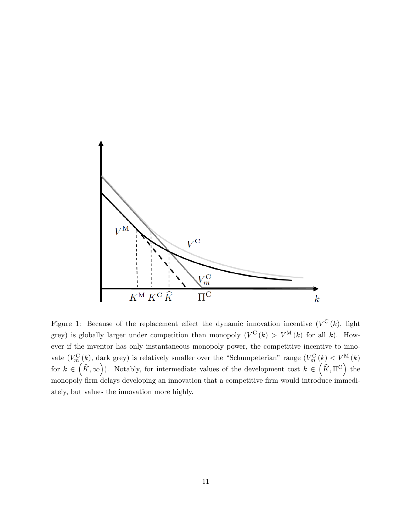

Figure 1: Because of the replacement effect the dynamic innovation incentive  $(V^{\mathcal{C}}(k))$ , light grey) is globally larger under competition than monopoly  $(V^{\mathcal{C}}(k) > V^{\mathcal{M}}(k)$  for all k). However if the inventor has only instantaneous monopoly power, the competitive incentive to innovate  $(V_m^{\text{C}}(k)$ , dark grey) is relatively smaller over the "Schumpeterian" range  $(V_m^{\text{C}}(k) < V^{\text{M}}(k)$ for  $k \in (\hat{K}, \infty)$ ). Notably, for intermediate values of the development cost  $k \in (\hat{K}, \Pi^C)$  the monopoly firm delays developing an innovation that a competitive firm would introduce immediately, but values the innovation more highly.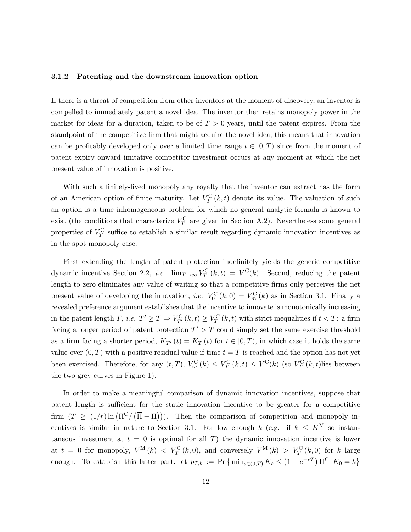#### 3.1.2 Patenting and the downstream innovation option

If there is a threat of competition from other inventors at the moment of discovery, an inventor is compelled to immediately patent a novel idea. The inventor then retains monopoly power in the market for ideas for a duration, taken to be of  $T > 0$  years, until the patent expires. From the standpoint of the competitive firm that might acquire the novel idea, this means that innovation can be profitably developed only over a limited time range  $t \in [0, T)$  since from the moment of patent expiry onward imitative competitor investment occurs at any moment at which the net present value of innovation is positive.

With such a finitely-lived monopoly any royalty that the inventor can extract has the form of an American option of finite maturity. Let  $V_T^{\mathcal{C}}(k,t)$  denote its value. The valuation of such an option is a time inhomogeneous problem for which no general analytic formula is known to exist (the conditions that characterize  $V_T^{\text{C}}$  are given in Section A.2). Nevertheless some general properties of  $V_T^{\text{C}}$  suffice to establish a similar result regarding dynamic innovation incentives as in the spot monopoly case.

First extending the length of patent protection indefinitely yields the generic competitive dynamic incentive Section 2.2, *i.e.*  $\lim_{T \to \infty} V_T^C(k, t) = V^C(k)$ . Second, reducing the patent length to zero eliminates any value of waiting so that a competitive firms only perceives the net present value of developing the innovation, *i.e.*  $V_0^{\text{C}}(k,0) = V_m^{\text{C}}(k)$  as in Section 3.1. Finally a revealed preference argument establishes that the incentive to innovate is monotonically increasing in the patent length T, *i.e.*  $T' \ge T \Rightarrow V_{T'}^C(k,t) \ge V_T^C(k,t)$  with strict inequalities if  $t < T$ : a firm facing a longer period of patent protection  $T' > T$  could simply set the same exercise threshold as a firm facing a shorter period,  $K_{T}(t) = K_T(t)$  for  $t \in [0, T)$ , in which case it holds the same value over  $(0, T)$  with a positive residual value if time  $t = T$  is reached and the option has not yet been exercised. Therefore, for any  $(t, T)$ ,  $V_m^{\text{C}}(k) \leq V_T^{\text{C}}(k, t) \leq V^{\text{C}}(k)$  (so  $V_T^{\text{C}}(k, t)$  lies between the two grey curves in Figure 1).

In order to make a meaningful comparison of dynamic innovation incentives, suppose that patent length is sufficient for the static innovation incentive to be greater for a competitive firm  $(T \geq (1/r) \ln (\Pi^C / (\overline{\Pi} - \underline{\Pi})))$ . Then the comparison of competition and monopoly incentives is similar in nature to Section 3.1. For low enough k (e.g. if  $k \leq K^{\text{M}}$  so instantaneous investment at  $t = 0$  is optimal for all T) the dynamic innovation incentive is lower at  $t = 0$  for monopoly,  $V^{\text{M}}(k) < V_T^{\text{C}}(k,0)$ , and conversely  $V^{\text{M}}(k) > V_T^{\text{C}}(k,0)$  for k large enough. To establish this latter part, let  $p_{T,k} := \Pr \{ \min_{s \in (0,T)} K_s \leq (1 - e^{-rT}) \Pi^C | K_0 = k \}$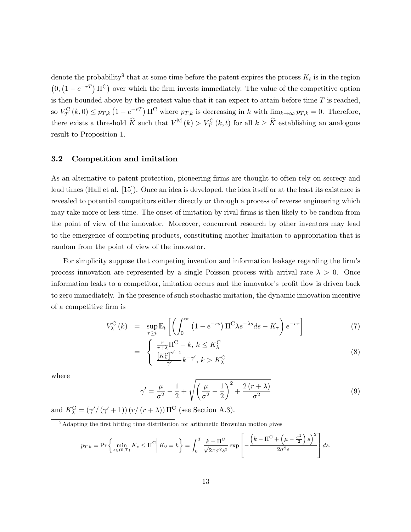denote the probability<sup>9</sup> that at some time before the patent expires the process  $K_t$  is in the region  $(0, (1 - e^{-rT}) \Pi^{C})$  over which the firm invests immediately. The value of the competitive option is then bounded above by the greatest value that it can expect to attain before time  $T$  is reached, so  $V_T^{\text{C}}(k,0) \leq p_{T,k} \left(1 - e^{-rT}\right) \Pi^{\text{C}}$  where  $p_{T,k}$  is decreasing in k with  $\lim_{k \to \infty} p_{T,k} = 0$ . Therefore, there exists a threshold  $\widehat{K}$  such that  $V^{\mathbf{M}}(k) > V^{\mathbf{C}}_T(k,t)$  for all  $k \geq \widehat{K}$  establishing an analogous result to Proposition 1.

#### 3.2 Competition and imitation

As an alternative to patent protection, pioneering firms are thought to often rely on secrecy and lead times (Hall et al. [15]). Once an idea is developed, the idea itself or at the least its existence is revealed to potential competitors either directly or through a process of reverse engineering which may take more or less time. The onset of imitation by rival firms is then likely to be random from the point of view of the innovator. Moreover, concurrent research by other inventors may lead to the emergence of competing products, constituting another limitation to appropriation that is random from the point of view of the innovator.

For simplicity suppose that competing invention and information leakage regarding the firm's process innovation are represented by a single Poisson process with arrival rate  $\lambda > 0$ . Once information leaks to a competitor, imitation occurs and the innovator's profit flow is driven back to zero immediately. In the presence of such stochastic imitation, the dynamic innovation incentive of a competitive Örm is

$$
V_{\lambda}^{\text{C}}(k) = \sup_{\tau \ge t} \mathbb{E}_t \left[ \left( \int_0^{\infty} \left( 1 - e^{-rs} \right) \Pi^{\text{C}} \lambda e^{-\lambda s} ds - K_{\tau} \right) e^{-r\tau} \right]
$$
(7)

$$
= \begin{cases} \frac{r}{r+\lambda} \Pi^{\mathcal{C}} - k, \, k \le K_{\lambda}^{\mathcal{C}} \\ \frac{\left[K_{\lambda}^{\mathcal{C}}\right]^{\gamma'+1}}{\gamma'} k^{-\gamma'}, \, k > K_{\lambda}^{\mathcal{C}} \end{cases} \tag{8}
$$

where

$$
\gamma' = \frac{\mu}{\sigma^2} - \frac{1}{2} + \sqrt{\left(\frac{\mu}{\sigma^2} - \frac{1}{2}\right)^2 + \frac{2\left(r + \lambda\right)}{\sigma^2}}\tag{9}
$$

and  $K_{\lambda}^{\text{C}} = (\gamma'/(\gamma' + 1))(r/(r + \lambda)) \Pi^{\text{C}}$  (see Section A.3).

 $\frac{9}{9}$ Adapting the first hitting time distribution for arithmetic Brownian motion gives

$$
p_{T,k} = \Pr\left\{\min_{s \in (0,T)} K_s \leq \Pi^C \middle| K_0 = k\right\} = \int_0^T \frac{k - \Pi^C}{\sqrt{2\pi\sigma^2 s^3}} \exp\left[-\frac{\left(k - \Pi^C + \left(\mu - \frac{\sigma^2}{2}\right)s\right)^2}{2\sigma^2 s}\right] ds.
$$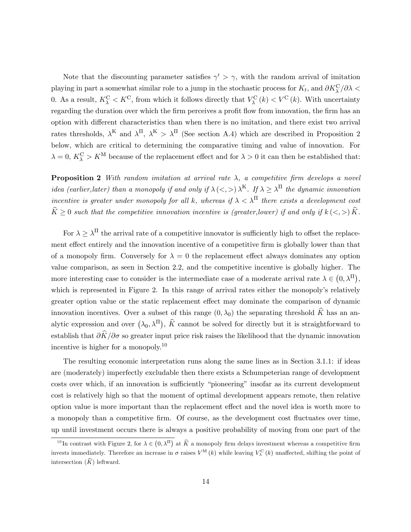Note that the discounting parameter satisfies  $\gamma' > \gamma$ , with the random arrival of imitation playing in part a somewhat similar role to a jump in the stochastic process for  $K_t$ , and  $\partial K_\lambda^C/\partial \lambda <$ 0. As a result,  $K_{\lambda}^{\text{C}} < K^{\text{C}}$ , from which it follows directly that  $V_{\lambda}^{\text{C}}(k) < V^{\text{C}}(k)$ . With uncertainty regarding the duration over which the firm perceives a profit flow from innovation, the firm has an option with different characteristics than when there is no imitation, and there exist two arrival rates thresholds,  $\lambda^{K}$  and  $\lambda^{H}$ ,  $\lambda^{K} > \lambda^{H}$  (See section A.4) which are described in Proposition 2 below, which are critical to determining the comparative timing and value of innovation. For  $\lambda = 0, K_{\lambda}^{\text{C}} > K^{\text{M}}$  because of the replacement effect and for  $\lambda > 0$  it can then be established that:

**Proposition 2** With random imitation at arrival rate  $\lambda$ , a competitive firm develops a novel idea (earlier, later) than a monopoly if and only if  $\lambda \ll \lambda$ )  $\lambda^{K}$ . If  $\lambda \geq \lambda^{H}$  the dynamic innovation incentive is greater under monopoly for all k, whereas if  $\lambda < \lambda^{\Pi}$  there exists a development cost  $\widehat{K}\geq 0$  such that the competitive innovation incentive is (greater, lower) if and only if  $k \leq z \leq \widehat{K}$ .

For  $\lambda \geq \lambda^{\Pi}$  the arrival rate of a competitive innovator is sufficiently high to offset the replacement effect entirely and the innovation incentive of a competitive firm is globally lower than that of a monopoly firm. Conversely for  $\lambda = 0$  the replacement effect always dominates any option value comparison, as seen in Section 2.2, and the competitive incentive is globally higher. The more interesting case to consider is the intermediate case of a moderate arrival rate  $\lambda \in (0, \lambda^{\Pi}),$ which is represented in Figure 2. In this range of arrival rates either the monopoly's relatively greater option value or the static replacement effect may dominate the comparison of dynamic innovation incentives. Over a subset of this range  $(0, \lambda_0)$  the separating threshold  $\widehat{K}$  has an analytic expression and over  $(\lambda_0, \lambda^{\Pi})$ ,  $\widehat{K}$  cannot be solved for directly but it is straightforward to establish that  $\partial \hat{K}/\partial \sigma$  so greater input price risk raises the likelihood that the dynamic innovation incentive is higher for a monopoly.<sup>10</sup>

The resulting economic interpretation runs along the same lines as in Section 3.1.1: if ideas are (moderately) imperfectly excludable then there exists a Schumpeterian range of development costs over which, if an innovation is sufficiently "pioneering" insofar as its current development cost is relatively high so that the moment of optimal development appears remote, then relative option value is more important than the replacement effect and the novel idea is worth more to a monopoly than a competitive firm. Of course, as the development cost fluctuates over time, up until investment occurs there is always a positive probability of moving from one part of the

<sup>&</sup>lt;sup>10</sup>In contrast with Figure 2, for  $\lambda \in (0, \lambda^{\Pi})$  at  $\widehat{K}$  a monopoly firm delays investment whereas a competitive firm invests immediately. Therefore an increase in  $\sigma$  raises  $V^{\text{M}}(k)$  while leaving  $V^{\text{C}}_{\lambda}(k)$  unaffected, shifting the point of intersection  $(\widehat{K})$  leftward.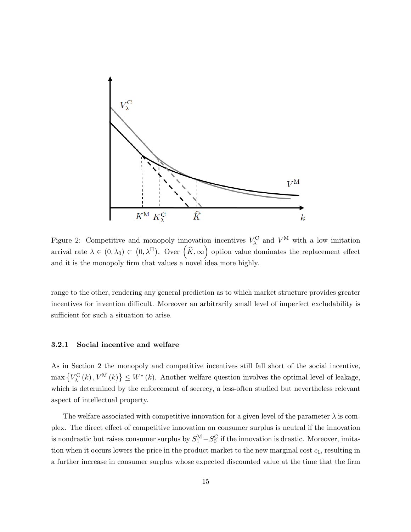

Figure 2: Competitive and monopoly innovation incentives  $V_{\lambda}^{\text{C}}$  and  $V^{\text{M}}$  with a low imitation arrival rate  $\lambda \in (0, \lambda_0) \subset (0, \lambda^{\Pi})$ . Over  $(\widehat{K}, \infty)$  option value dominates the replacement effect and it is the monopoly firm that values a novel idea more highly.

range to the other, rendering any general prediction as to which market structure provides greater incentives for invention difficult. Moreover an arbitrarily small level of imperfect excludability is sufficient for such a situation to arise.

#### 3.2.1 Social incentive and welfare

As in Section 2 the monopoly and competitive incentives still fall short of the social incentive,  $\max\{V_{\lambda}^{C}(k), V^{\mathcal{M}}(k)\}\leq W^{*}(k)$ . Another welfare question involves the optimal level of leakage, which is determined by the enforcement of secrecy, a less-often studied but nevertheless relevant aspect of intellectual property.

The welfare associated with competitive innovation for a given level of the parameter  $\lambda$  is complex. The direct effect of competitive innovation on consumer surplus is neutral if the innovation is nondrastic but raises consumer surplus by  $S_1^M - S_0^C$  if the innovation is drastic. Moreover, imitation when it occurs lowers the price in the product market to the new marginal cost  $c_1$ , resulting in a further increase in consumer surplus whose expected discounted value at the time that the Örm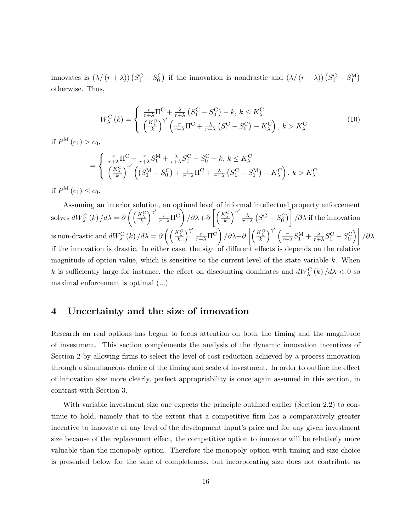innovates is  $(\lambda/(r + \lambda)) (S_1^C - S_0^C)$  if the innovation is nondrastic and  $(\lambda/(r + \lambda)) (S_1^C - S_1^M)$ otherwise. Thus,

$$
W_{\lambda}^{\text{C}}\left(k\right) = \begin{cases} \frac{r}{r+\lambda}\Pi^{\text{C}} + \frac{\lambda}{r+\lambda}\left(S_{1}^{\text{C}} - S_{0}^{\text{C}}\right) - k, \, k \leq K_{\lambda}^{\text{C}}\\ \left(\frac{K_{\lambda}^{\text{C}}}{k}\right)^{\gamma'}\left(\frac{r}{r+\lambda}\Pi^{\text{C}} + \frac{\lambda}{r+\lambda}\left(S_{1}^{\text{C}} - S_{0}^{\text{C}}\right) - K_{\lambda}^{\text{C}}\right), \, k > K_{\lambda}^{\text{C}} \end{cases} \tag{10}
$$

if  $P^{M}(c_{1}) > c_{0}$ ,

$$
= \begin{cases} \frac{r}{r+\lambda}\Pi^{\text{C}} + \frac{r}{r+\lambda}S_{1}^{\text{M}} + \frac{\lambda}{r+\lambda}S_{1}^{\text{C}} - S_{0}^{\text{C}} - k, \, k \leq K_{\lambda}^{\text{C}} \\ \left(\frac{K_{\lambda}^{\text{C}}}{k}\right)^{\gamma'} \left( \left(S_{1}^{\text{M}} - S_{0}^{\text{C}}\right) + \frac{r}{r+\lambda}\Pi^{\text{C}} + \frac{\lambda}{r+\lambda}\left(S_{1}^{\text{C}} - S_{1}^{\text{M}}\right) - K_{\lambda}^{\text{C}} \right), \, k > K_{\lambda}^{\text{C}} \end{cases}
$$

if  $P^{M}(c_{1}) \leq c_{0}.$ 

Assuming an interior solution, an optimal level of informal intellectual property enforcement solves  $dW_{\lambda}^{\text{C}}\left(k\right)/d\lambda = \partial\left(\left(\frac{K_{\lambda}^{\text{C}}}{k}\right)$  $\int^{\gamma'} \frac{r}{r+\lambda} \overline{\Pi}^{\mathrm{C}}$  $\int \partial \lambda + \partial \left[ \left( \frac{K_{\lambda}^{\rm C}}{k} \right)$  $\big\backslash^{\gamma'}\big\lrcorner_{\lambda}$  $\frac{\lambda}{r+\lambda}\left(S^{\text{C}}_1-S^{\text{C}}_0\right)\bigg]$  $\partial \lambda$  if the innovation is non-drastic and  $dW_{\lambda}^{\text{C}}(k) / d\lambda = \partial \left( \left( \frac{K_{\lambda}^{\text{C}}}{k} \right) \right)$  $\int^{\gamma'} \frac{r}{r+\lambda} \overline{\Pi}^{\overline{\text{C}}}$  $\int$  $\partial \lambda + \partial \left[ \left( \frac{K_{\lambda}^{\rm C}}{k} \right)$  $\int^{\gamma'}$  (  $r$  $\frac{r}{r+\lambda}S_{1}^{\mathrm{M}}+\frac{\lambda}{r+1}$  $\frac{\lambda}{r+\lambda}S_1^{\text{C}}-S_0^{\text{C}}$  $\overline{1}$  $/\partial \lambda$ if the innovation is drastic. In either case, the sign of different effects is depends on the relative magnitude of option value, which is sensitive to the current level of the state variable  $k$ . When k is sufficiently large for instance, the effect on discounting dominates and  $dW_{\lambda}^{\text{C}}(k)/d\lambda < 0$  so maximal enforcement is optimal (...)

## 4 Uncertainty and the size of innovation

Research on real options has begun to focus attention on both the timing and the magnitude of investment. This section complements the analysis of the dynamic innovation incentives of Section 2 by allowing firms to select the level of cost reduction achieved by a process innovation through a simultaneous choice of the timing and scale of investment. In order to outline the effect of innovation size more clearly, perfect appropriability is once again assumed in this section, in contrast with Section 3.

With variable investment size one expects the principle outlined earlier (Section 2.2) to continue to hold, namely that to the extent that a competitive Örm has a comparatively greater incentive to innovate at any level of the development input's price and for any given investment size because of the replacement effect, the competitive option to innovate will be relatively more valuable than the monopoly option. Therefore the monopoly option with timing and size choice is presented below for the sake of completeness, but incorporating size does not contribute as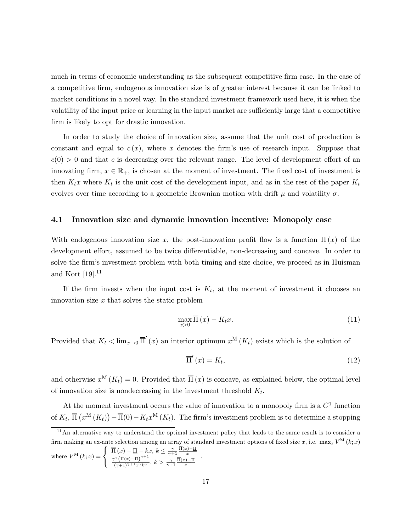much in terms of economic understanding as the subsequent competitive firm case. In the case of a competitive firm, endogenous innovation size is of greater interest because it can be linked to market conditions in a novel way. In the standard investment framework used here, it is when the volatility of the input price or learning in the input market are sufficiently large that a competitive firm is likely to opt for drastic innovation.

In order to study the choice of innovation size, assume that the unit cost of production is constant and equal to  $c(x)$ , where x denotes the firm's use of research input. Suppose that  $c(0) > 0$  and that c is decreasing over the relevant range. The level of development effort of an innovating firm,  $x \in \mathbb{R}_+$ , is chosen at the moment of investment. The fixed cost of investment is then  $K_t x$  where  $K_t$  is the unit cost of the development input, and as in the rest of the paper  $K_t$ evolves over time according to a geometric Brownian motion with drift  $\mu$  and volatility  $\sigma$ .

#### 4.1 Innovation size and dynamic innovation incentive: Monopoly case

With endogenous innovation size x, the post-innovation profit flow is a function  $\Pi(x)$  of the development effort, assumed to be twice differentiable, non-decreasing and concave. In order to solve the firm's investment problem with both timing and size choice, we proceed as in Huisman and Kort  $[19]$ <sup>11</sup>

If the firm invests when the input cost is  $K_t$ , at the moment of investment it chooses an innovation size  $x$  that solves the static problem

$$
\max_{x>0} \overline{\Pi}(x) - K_t x. \tag{11}
$$

Provided that  $K_t < \lim_{x\to 0} \overline{\Pi}'(x)$  an interior optimum  $x^M(K_t)$  exists which is the solution of

$$
\overline{\Pi}'(x) = K_t,\tag{12}
$$

and otherwise  $x^{\mathbf{M}}(K_t) = 0$ . Provided that  $\overline{\Pi}(x)$  is concave, as explained below, the optimal level of innovation size is nondecreasing in the investment threshold  $K_t$ .

At the moment investment occurs the value of innovation to a monopoly firm is a  $C<sup>1</sup>$  function of  $K_t$ ,  $\overline{\Pi}(x^{\text{M}}(K_t)) - \overline{\Pi}(0) - K_t x^{\text{M}}(K_t)$ . The firm's investment problem is to determine a stopping

where 
$$
V^{\mathcal{M}}(k;x) = \begin{cases} \frac{\gamma(\overline{\Pi}(x) - \underline{\Pi})^{\gamma+1}}{(\gamma+1)^{\gamma+1}x^{\gamma}k^{\gamma}}, & k > \frac{\gamma}{\gamma+1} \frac{\overline{\Pi}(x) - \underline{\Pi}}{x} \end{cases}
$$

 $11$ An alternative way to understand the optimal investment policy that leads to the same result is to consider a firm making an ex-ante selection among an array of standard investment options of fixed size x, i.e.  $\max_x V^M(k; x)$  $M(x; x) = x$  $\sqrt{2}$  $\int \ \overline{\Pi}(x) - \underline{\Pi} - kx, \ k \leq \frac{\gamma}{\gamma + 1} \frac{\Pi(x) - \underline{\Pi}}{x}$ .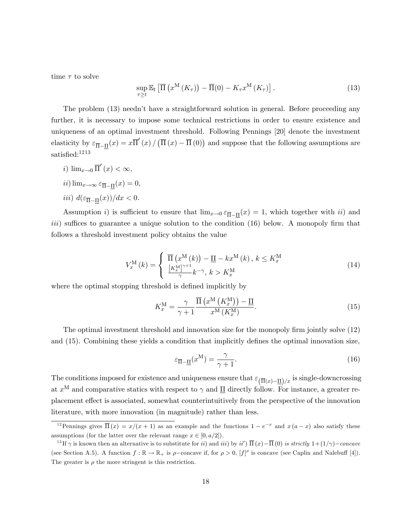time  $\tau$  to solve

$$
\sup_{\tau \geq t} \mathbb{E}_t \left[ \overline{\Pi} \left( x^{\mathcal{M}} \left( K_{\tau} \right) \right) - \overline{\Pi} (0) - K_{\tau} x^{\mathcal{M}} \left( K_{\tau} \right) \right]. \tag{13}
$$

The problem (13) needn't have a straightforward solution in general. Before proceeding any further, it is necessary to impose some technical restrictions in order to ensure existence and uniqueness of an optimal investment threshold. Following Pennings [20] denote the investment elasticity by  $\varepsilon_{\overline{\Pi}-\underline{\Pi}}(x) = x \overline{\Pi}'(x) / (\overline{\Pi}(x) - \overline{\Pi}(0))$  and suppose that the following assumptions are satisfied:<sup>1213</sup>

- i)  $\lim_{x\to 0} \overline{\Pi}'(x) < \infty$ ,
- $ii)$   $\lim_{x \to \infty} \varepsilon_{\overline{\Pi} \underline{\Pi}}(x) = 0,$
- *iii*)  $d(\varepsilon_{\overline{\Pi}-\underline{\Pi}}(x))/dx < 0$ .

Assumption *i*) is sufficient to ensure that  $\lim_{x\to 0} \varepsilon_{\overline{\Pi}-\underline{\Pi}}(x) = 1$ , which together with *ii*) and *iii*) suffices to guarantee a unique solution to the condition  $(16)$  below. A monopoly firm that follows a threshold investment policy obtains the value

$$
V_x^{\mathbf{M}}(k) = \begin{cases} \overline{\Pi} \left( x^{\mathbf{M}}(k) \right) - \underline{\Pi} - k x^{\mathbf{M}}(k) \,, \, k \le K_x^{\mathbf{M}} \\ \frac{\left[ K_x^{\mathbf{M}} \right]^{\gamma+1}}{\gamma} k^{-\gamma}, \, k > K_x^{\mathbf{M}} \end{cases} \tag{14}
$$

where the optimal stopping threshold is defined implicitly by

$$
K_x^{\mathcal{M}} = \frac{\gamma}{\gamma + 1} \frac{\overline{\Pi} \left( x^{\mathcal{M}} \left( K_x^{\mathcal{M}} \right) \right) - \underline{\Pi}}{x^{\mathcal{M}} \left( K_x^{\mathcal{M}} \right)}.
$$
\n(15)

The optimal investment threshold and innovation size for the monopoly firm jointly solve (12) and  $(15)$ . Combining these yields a condition that implicitly defines the optimal innovation size,

$$
\varepsilon_{\overline{\Pi}-\underline{\Pi}}(x^{\mathbf{M}}) = \frac{\gamma}{\gamma+1}.\tag{16}
$$

The conditions imposed for existence and uniqueness ensure that  $\epsilon_{(\overline{\Pi}(x)-\underline{\Pi})/x}$  is single-downcrossing at  $x^{\text{M}}$  and comparative statics with respect to  $\gamma$  and  $\underline{\Pi}$  directly follow. For instance, a greater replacement effect is associated, somewhat counterintuitively from the perspective of the innovation literature, with more innovation (in magnitude) rather than less.

<sup>&</sup>lt;sup>12</sup> Pennings gives  $\overline{\Pi}(x) = x/(x+1)$  as an example and the functions  $1 - e^{-x}$  and  $x (a-x)$  also satisfy these assumptions (for the latter over the relevant range  $x \in [0, a/2]$ ).

<sup>&</sup>lt;sup>13</sup>If  $\gamma$  is known then an alternative is to substitute for *ii*) and *iii*) by *ii'*)  $\overline{\Pi}(x) - \overline{\Pi}(0)$  *is strictly*  $1 + (1/\gamma) - concave$ (see Section A.5). A function  $f : \mathbb{R} \to \mathbb{R}_+$  is  $\rho$ -concave if, for  $\rho > 0$ ,  $[f]^\rho$  is concave (see Caplin and Nalebuff [4]). The greater is  $\rho$  the more stringent is this restriction.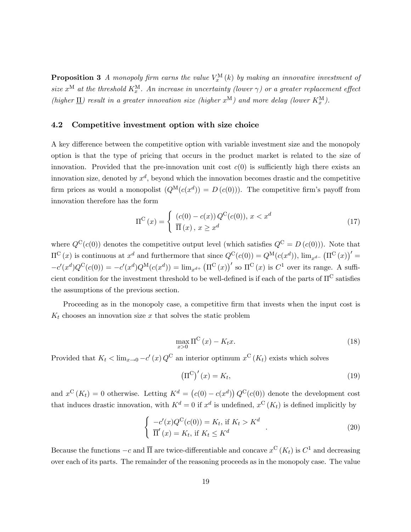**Proposition 3** A monopoly firm earns the value  $V_x^{\text{M}}(k)$  by making an innovative investment of size  $x^{\text{M}}$  at the threshold  $K_x^{\text{M}}$ . An increase in uncertainty (lower  $\gamma$ ) or a greater replacement effect (higher  $\underline{\Pi}$ ) result in a greater innovation size (higher  $x^M$ ) and more delay (lower  $K_x^M$ ).

#### 4.2 Competitive investment option with size choice

A key difference between the competitive option with variable investment size and the monopoly option is that the type of pricing that occurs in the product market is related to the size of innovation. Provided that the pre-innovation unit cost  $c(0)$  is sufficiently high there exists an innovation size, denoted by  $x^d$ , beyond which the innovation becomes drastic and the competitive firm prices as would a monopolist  $(Q^M(c(x^d))) = D(c(0))$ . The competitive firm's payoff from innovation therefore has the form

$$
\Pi^{C}(x) = \begin{cases} (c(0) - c(x)) Q^{C}(c(0)), & x < x^{d} \\ \overline{\Pi}(x), & x \geq x^{d} \end{cases}
$$
\n(17)

where  $Q^{C}(c(0))$  denotes the competitive output level (which satisfies  $Q^{C} = D(c(0))$ ). Note that  $\Pi^{\mathcal{C}}(x)$  is continuous at  $x^d$  and furthermore that since  $Q^{\mathcal{C}}(c(0)) = Q^{\mathcal{M}}(c(x^d))$ ,  $\lim_{x^{d-}} (\Pi^{\mathcal{C}}(x))' =$  $-c'(x^d)Q^C(c(0)) = -c'(x^d)Q^M(c(x^d)) = \lim_{x^{d+}} (\Pi^C(x))'$  so  $\Pi^C(x)$  is  $C^1$  over its range. A sufficient condition for the investment threshold to be well-defined is if each of the parts of  $\Pi^C$  satisfies the assumptions of the previous section.

Proceeding as in the monopoly case, a competitive firm that invests when the input cost is  $K_t$  chooses an innovation size x that solves the static problem

$$
\max_{x>0} \Pi^{\mathcal{C}}(x) - K_t x. \tag{18}
$$

Provided that  $K_t < \lim_{x\to 0} -c'(x)Q^C$  an interior optimum  $x^C(K_t)$  exists which solves

$$
\left(\Pi^{\mathcal{C}}\right)'(x) = K_t,\tag{19}
$$

and  $x^{\mathcal{C}}(K_t) = 0$  otherwise. Letting  $K^d = (c(0) - c(x^d)) Q^{\mathcal{C}}(c(0))$  denote the development cost that induces drastic innovation, with  $K^d = 0$  if  $x^d$  is undefined,  $x^C(K_t)$  is defined implicitly by

$$
\begin{cases}\n-c'(x)Q^{C}(c(0)) = K_t, \text{ if } K_t > K^d \\
\overline{\Pi}'(x) = K_t, \text{ if } K_t \leq K^d\n\end{cases}.
$$
\n(20)

Because the functions  $-c$  and  $\overline{\Pi}$  are twice-differentiable and concave  $x^C(K_t)$  is  $C^1$  and decreasing over each of its parts. The remainder of the reasoning proceeds as in the monopoly case. The value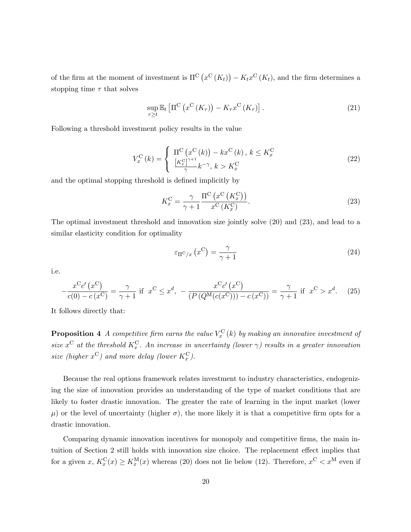of the firm at the moment of investment is  $\Pi^{\mathcal{C}}(x^{\mathcal{C}}(K_t)) - K_t x^{\mathcal{C}}(K_t)$ , and the firm determines a stopping time  $\tau$  that solves

$$
\sup_{\tau \geq t} \mathbb{E}_t \left[ \Pi^{\mathcal{C}} \left( x^{\mathcal{C}} \left( K_{\tau} \right) \right) - K_{\tau} x^{\mathcal{C}} \left( K_{\tau} \right) \right]. \tag{21}
$$

Following a threshold investment policy results in the value

$$
V_x^{\mathcal{C}}(k) = \begin{cases} \n\Pi^{\mathcal{C}}\left(x^{\mathcal{C}}(k)\right) - kx^{\mathcal{C}}(k), \, k \le K_x^{\mathcal{C}}\\ \n\frac{\left[K_x^{\mathcal{C}}\right]^{\gamma+1}}{\gamma} k^{-\gamma}, \, k > K_x^{\mathcal{C}} \n\end{cases} \n\tag{22}
$$

and the optimal stopping threshold is defined implicitly by

$$
K_x^{\mathcal{C}} = \frac{\gamma}{\gamma + 1} \frac{\Pi^{\mathcal{C}}\left(x^{\mathcal{C}}\left(K_x^{\mathcal{C}}\right)\right)}{x^{\mathcal{C}}\left(K_x^{\mathcal{C}}\right)}.
$$
\n(23)

The optimal investment threshold and innovation size jointly solve (20) and (23), and lead to a similar elasticity condition for optimality

$$
\varepsilon_{\Pi^{\rm C}/x}\left(x^{\rm C}\right) = \frac{\gamma}{\gamma + 1} \tag{24}
$$

i.e.

$$
-\frac{x^C c'(x^C)}{c(0) - c(x^C)} = \frac{\gamma}{\gamma + 1} \text{ if } x^C \le x^d, \ -\frac{x^C c'(x^C)}{(P(Q^M(c(x^C))) - c(x^C))} = \frac{\gamma}{\gamma + 1} \text{ if } x^C > x^d. \tag{25}
$$

It follows directly that:

**Proposition 4** A competitive firm earns the value  $V_x^{\text{C}}(k)$  by making an innovative investment of size  $x^{\text{C}}$  at the threshold  $K_x^{\text{C}}$ . An increase in uncertainty (lower  $\gamma$ ) results in a greater innovation size (higher  $x^{\mathbf{C}}$ ) and more delay (lower  $K_x^{\mathbf{C}}$ ).

Because the real options framework relates investment to industry characteristics, endogenizing the size of innovation provides an understanding of the type of market conditions that are likely to foster drastic innovation. The greater the rate of learning in the input market (lower  $\mu$ ) or the level of uncertainty (higher  $\sigma$ ), the more likely it is that a competitive firm opts for a drastic innovation.

Comparing dynamic innovation incentives for monopoly and competitive firms, the main intuition of Section 2 still holds with innovation size choice. The replacement effect implies that for a given  $x, K_x^C(x) \ge K_x^M(x)$  whereas (20) does not lie below (12). Therefore,  $x^C < x^M$  even if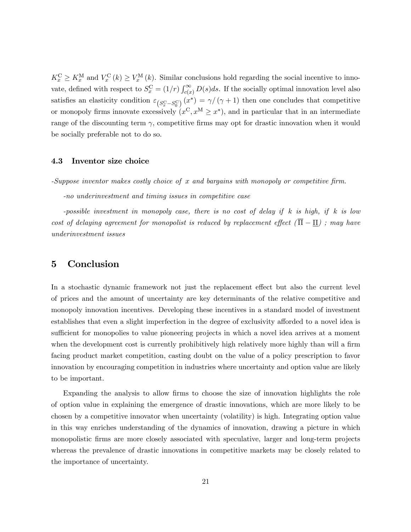$K_x^{\text{C}} \ge K_x^{\text{M}}$  and  $V_x^{\text{C}}(k) \ge V_x^{\text{M}}(k)$ . Similar conclusions hold regarding the social incentive to innovate, defined with respect to  $S_x^{\text{C}} = (1/r) \int_{c(x)}^{\infty} D(s) ds$ . If the socially optimal innovation level also satisfies an elasticity condition  $\varepsilon_{S_x^C-S_0^C}(x^*) = \gamma/(\gamma+1)$  then one concludes that competitive or monopoly firms innovate excessively  $(x^C, x^M \geq x^*)$ , and in particular that in an intermediate range of the discounting term  $\gamma$ , competitive firms may opt for drastic innovation when it would be socially preferable not to do so.

#### 4.3 Inventor size choice

-Suppose inventor makes costly choice of  $x$  and bargains with monopoly or competitive firm.

-no underinvestment and timing issues in competitive case

-possible investment in monopoly case, there is no cost of delay if k is high, if k is low cost of delaying agreement for monopolist is reduced by replacement effect  $(\overline{\Pi} - \Pi)$ ; may have underinvestment issues

## 5 Conclusion

In a stochastic dynamic framework not just the replacement effect but also the current level of prices and the amount of uncertainty are key determinants of the relative competitive and monopoly innovation incentives. Developing these incentives in a standard model of investment establishes that even a slight imperfection in the degree of exclusivity afforded to a novel idea is sufficient for monopolies to value pioneering projects in which a novel idea arrives at a moment when the development cost is currently prohibitively high relatively more highly than will a firm facing product market competition, casting doubt on the value of a policy prescription to favor innovation by encouraging competition in industries where uncertainty and option value are likely to be important.

Expanding the analysis to allow firms to choose the size of innovation highlights the role of option value in explaining the emergence of drastic innovations, which are more likely to be chosen by a competitive innovator when uncertainty (volatility) is high. Integrating option value in this way enriches understanding of the dynamics of innovation, drawing a picture in which monopolistic firms are more closely associated with speculative, larger and long-term projects whereas the prevalence of drastic innovations in competitive markets may be closely related to the importance of uncertainty.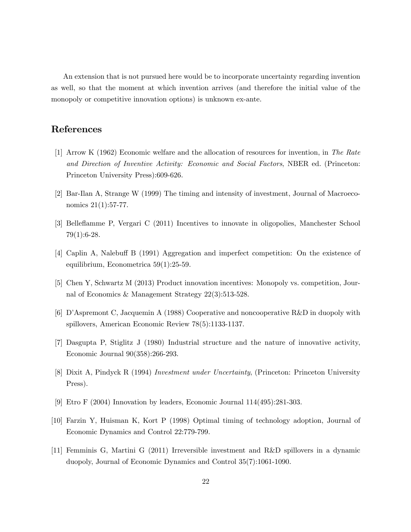An extension that is not pursued here would be to incorporate uncertainty regarding invention as well, so that the moment at which invention arrives (and therefore the initial value of the monopoly or competitive innovation options) is unknown ex-ante.

# References

- [1] Arrow K (1962) Economic welfare and the allocation of resources for invention, in The Rate and Direction of Inventive Activity: Economic and Social Factors, NBER ed. (Princeton: Princeton University Press):609-626.
- [2] Bar-Ilan A, Strange W (1999) The timing and intensity of investment, Journal of Macroeconomics 21(1):57-77.
- [3] Belleáamme P, Vergari C (2011) Incentives to innovate in oligopolies, Manchester School  $79(1):6-28.$
- [4] Caplin A, Nalebuff B (1991) Aggregation and imperfect competition: On the existence of equilibrium, Econometrica 59(1):25-59.
- [5] Chen Y, Schwartz M (2013) Product innovation incentives: Monopoly vs. competition, Journal of Economics & Management Strategy 22(3):513-528.
- [6] DíAspremont C, Jacquemin A (1988) Cooperative and noncooperative R&D in duopoly with spillovers, American Economic Review 78(5):1133-1137.
- [7] Dasgupta P, Stiglitz J (1980) Industrial structure and the nature of innovative activity, Economic Journal 90(358):266-293.
- [8] Dixit A, Pindyck R (1994) Investment under Uncertainty, (Princeton: Princeton University Press).
- [9] Etro F (2004) Innovation by leaders, Economic Journal 114(495):281-303.
- [10] Farzin Y, Huisman K, Kort P (1998) Optimal timing of technology adoption, Journal of Economic Dynamics and Control 22:779-799.
- [11] Femminis G, Martini G (2011) Irreversible investment and R&D spillovers in a dynamic duopoly, Journal of Economic Dynamics and Control 35(7):1061-1090.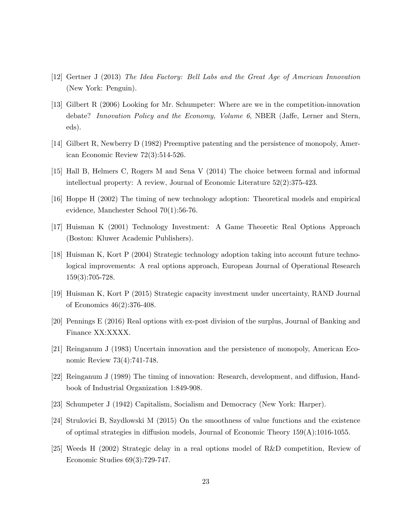- [12] Gertner J (2013) The Idea Factory: Bell Labs and the Great Age of American Innovation (New York: Penguin).
- [13] Gilbert R (2006) Looking for Mr. Schumpeter: Where are we in the competition-innovation debate? Innovation Policy and the Economy, Volume  $6$ , NBER (Jaffe, Lerner and Stern, eds).
- [14] Gilbert R, Newberry D (1982) Preemptive patenting and the persistence of monopoly, American Economic Review 72(3):514-526.
- [15] Hall B, Helmers C, Rogers M and Sena V (2014) The choice between formal and informal intellectual property: A review, Journal of Economic Literature 52(2):375-423.
- [16] Hoppe H (2002) The timing of new technology adoption: Theoretical models and empirical evidence, Manchester School 70(1):56-76.
- [17] Huisman K (2001) Technology Investment: A Game Theoretic Real Options Approach (Boston: Kluwer Academic Publishers).
- [18] Huisman K, Kort P (2004) Strategic technology adoption taking into account future technological improvements: A real options approach, European Journal of Operational Research 159(3):705-728.
- [19] Huisman K, Kort P (2015) Strategic capacity investment under uncertainty, RAND Journal of Economics 46(2):376-408.
- [20] Pennings E (2016) Real options with ex-post division of the surplus, Journal of Banking and Finance XX:XXXX.
- [21] Reinganum J (1983) Uncertain innovation and the persistence of monopoly, American Economic Review 73(4):741-748.
- [22] Reinganum J (1989) The timing of innovation: Research, development, and diffusion, Handbook of Industrial Organization 1:849-908.
- [23] Schumpeter J (1942) Capitalism, Socialism and Democracy (New York: Harper).
- [24] Strulovici B, Szydlowski M (2015) On the smoothness of value functions and the existence of optimal strategies in diffusion models, Journal of Economic Theory  $159(A):1016-1055$ .
- [25] Weeds H (2002) Strategic delay in a real options model of R&D competition, Review of Economic Studies 69(3):729-747.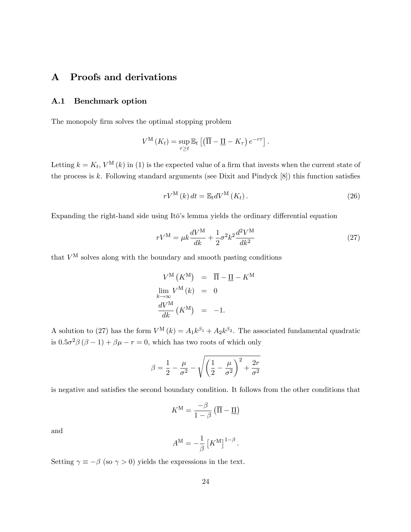# A Proofs and derivations

#### A.1 Benchmark option

The monopoly firm solves the optimal stopping problem

$$
V^{\mathcal{M}}(K_t) = \sup_{\tau \geq t} \mathbb{E}_t \left[ \left( \overline{\Pi} - \underline{\Pi} - K_{\tau} \right) e^{-r\tau} \right].
$$

Letting  $k = K_t$ ,  $V^{\text{M}}(k)$  in (1) is the expected value of a firm that invests when the current state of the process is  $k$ . Following standard arguments (see Dixit and Pindyck  $[8]$ ) this function satisfies

$$
rV^{\mathcal{M}}(k) dt = \mathbb{E}_{t} dV^{\mathcal{M}}(K_{t}). \qquad (26)
$$

Expanding the right-hand side using Itô's lemma yields the ordinary differential equation

$$
rV^{\rm M} = \mu k \frac{dV^{\rm M}}{dk} + \frac{1}{2} \sigma^2 k^2 \frac{d^2 V^{\rm M}}{dk^2}
$$
 (27)

that  $V^{\text{M}}$  solves along with the boundary and smooth pasting conditions

$$
V^{\mathcal{M}}(K^{\mathcal{M}}) = \overline{\Pi} - \underline{\Pi} - K^{\mathcal{M}}
$$
  
\n
$$
\lim_{k \to \infty} V^{\mathcal{M}}(k) = 0
$$
  
\n
$$
\frac{dV^{\mathcal{M}}}{dk}(K^{\mathcal{M}}) = -1.
$$

A solution to (27) has the form  $V^{\mathbf{M}}(k) = A_1 k^{\beta_1} + A_2 k^{\beta_2}$ . The associated fundamental quadratic is  $0.5\sigma^2\beta(\beta-1)+\beta\mu-r=0$ , which has two roots of which only

$$
\beta = \frac{1}{2} - \frac{\mu}{\sigma^2} - \sqrt{\left(\frac{1}{2} - \frac{\mu}{\sigma^2}\right)^2 + \frac{2r}{\sigma^2}}
$$

is negative and satisfies the second boundary condition. It follows from the other conditions that

$$
K^{\mathrm{M}} = \frac{-\beta}{1-\beta} \left( \overline{\Pi} - \underline{\Pi} \right)
$$

and

$$
A^{\mathrm{M}} = -\frac{1}{\beta} \left[ K^{\mathrm{M}} \right]^{1-\beta}.
$$

Setting  $\gamma \equiv -\beta$  (so  $\gamma > 0$ ) yields the expressions in the text.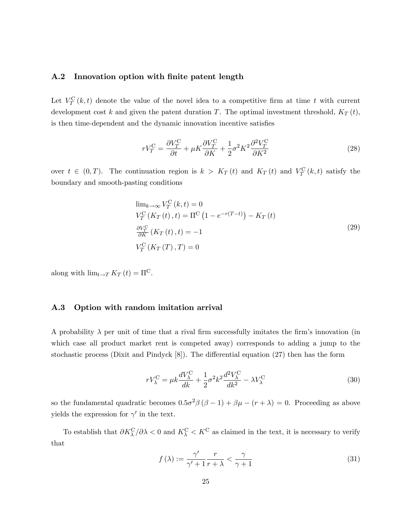#### A.2 Innovation option with finite patent length

Let  $V_T^{\text{C}}(k,t)$  denote the value of the novel idea to a competitive firm at time t with current development cost k and given the patent duration T. The optimal investment threshold,  $K_T(t)$ , is then time-dependent and the dynamic innovation incentive satisfies

$$
rV_T^{\rm C} = \frac{\partial V_T^{\rm C}}{\partial t} + \mu K \frac{\partial V_T^{\rm C}}{\partial K} + \frac{1}{2} \sigma^2 K^2 \frac{\partial^2 V_T^{\rm C}}{\partial K^2}
$$
(28)

over  $t \in (0,T)$ . The continuation region is  $k > K_T(t)$  and  $K_T(t)$  and  $V_T^C(k,t)$  satisfy the boundary and smooth-pasting conditions

$$
\lim_{k \to \infty} V_T^{\mathcal{C}}(k, t) = 0
$$
  
\n
$$
V_T^{\mathcal{C}}(K_T(t), t) = \Pi^{\mathcal{C}}(1 - e^{-r(T-t)}) - K_T(t)
$$
  
\n
$$
\frac{\partial V_T^{\mathcal{C}}}{\partial K}(K_T(t), t) = -1
$$
  
\n
$$
V_T^{\mathcal{C}}(K_T(T), T) = 0
$$
\n(29)

along with  $\lim_{t \to T} K_T(t) = \Pi^C$ .

#### A.3 Option with random imitation arrival

A probability  $\lambda$  per unit of time that a rival firm successfully imitates the firm's innovation (in which case all product market rent is competed away) corresponds to adding a jump to the stochastic process (Dixit and Pindyck  $[8]$ ). The differential equation  $(27)$  then has the form

$$
rV_{\lambda}^{\text{C}} = \mu k \frac{dV_{\lambda}^{\text{C}}}{dk} + \frac{1}{2} \sigma^2 k^2 \frac{d^2 V_{\lambda}^{\text{C}}}{dk^2} - \lambda V_{\lambda}^{\text{C}}
$$
(30)

so the fundamental quadratic becomes  $0.5\sigma^2\beta(\beta-1) + \beta\mu - (r + \lambda) = 0$ . Proceeding as above yields the expression for  $\gamma'$  in the text.

To establish that  $\partial K_{\lambda}^{C}/\partial \lambda < 0$  and  $K_{\lambda}^{C} < K^{C}$  as claimed in the text, it is necessary to verify that

$$
f(\lambda) := \frac{\gamma'}{\gamma' + 1} \frac{r}{r + \lambda} < \frac{\gamma}{\gamma + 1} \tag{31}
$$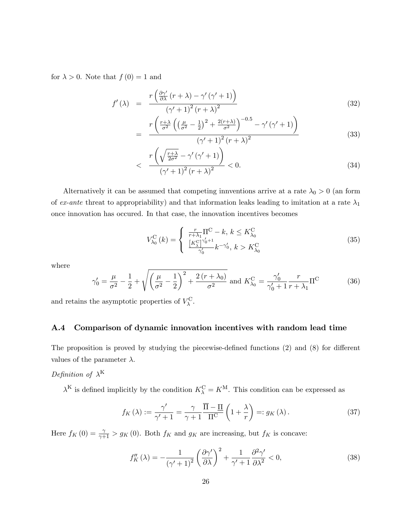for  $\lambda > 0$ . Note that  $f(0) = 1$  and

$$
f'(\lambda) = \frac{r\left(\frac{\partial \gamma'}{\partial \lambda}(r+\lambda) - \gamma'(\gamma'+1)\right)}{(\gamma'+1)^2(r+\lambda)^2}
$$
\n(32)

$$
= \frac{r\left(\frac{r+\lambda}{\sigma^2}\left(\left(\frac{\mu}{\sigma^2}-\frac{1}{2}\right)^2+\frac{2(r+\lambda)}{\sigma^2}\right)^{-0.5}-\gamma'\left(\gamma'+1\right)\right)}{\left(\gamma'+1\right)^2\left(r+\lambda\right)^2} \tag{33}
$$

$$
\left\langle \frac{r\left(\sqrt{\frac{r+\lambda}{2\sigma^2}} - \gamma'\left(\gamma' + 1\right)\right)}{\left(\gamma' + 1\right)^2 \left(r + \lambda\right)^2} < 0. \right. \tag{34}
$$

Alternatively it can be assumed that competing innventions arrive at a rate  $\lambda_0 > 0$  (an form of ex-ante threat to appropriability) and that information leaks leading to imitation at a rate  $\lambda_1$ once innovation has occured. In that case, the innovation incentives becomes

$$
V_{\lambda_0}^{\text{C}}(k) = \begin{cases} \frac{r}{r + \lambda_1} \Pi^{\text{C}} - k, \, k \le K_{\lambda_0}^{\text{C}}\\ \frac{[K_{\lambda}^{\text{C}}]^{\gamma_0' + 1}}{\gamma_0'} k^{-\gamma_0'}, \, k > K_{\lambda_0}^{\text{C}} \end{cases} \tag{35}
$$

where

$$
\gamma_0' = \frac{\mu}{\sigma^2} - \frac{1}{2} + \sqrt{\left(\frac{\mu}{\sigma^2} - \frac{1}{2}\right)^2 + \frac{2\,(r + \lambda_0)}{\sigma^2}} \text{ and } K_{\lambda_0}^{\text{C}} = \frac{\gamma_0'}{\gamma_0' + 1} \frac{r}{r + \lambda_1} \Pi^{\text{C}}
$$
(36)

and retains the asymptotic properties of  $V_{\lambda}^{\text{C}}$ .

#### A.4 Comparison of dynamic innovation incentives with random lead time

The proposition is proved by studying the piecewise-defined functions  $(2)$  and  $(8)$  for different values of the parameter  $\lambda$ .

## Definition of  $\lambda^{K}$

 $\lambda^K$  is defined implicitly by the condition  $K_{\lambda}^{\text{C}} = K^{\text{M}}$ . This condition can be expressed as

$$
f_K(\lambda) := \frac{\gamma'}{\gamma' + 1} = \frac{\gamma}{\gamma + 1} \frac{\overline{\Pi} - \underline{\Pi}}{\Pi^{\mathcal{C}}} \left( 1 + \frac{\lambda}{r} \right) =: g_K(\lambda). \tag{37}
$$

Here  $f_K(0) = \frac{\gamma}{\gamma + 1} > g_K(0)$ . Both  $f_K$  and  $g_K$  are increasing, but  $f_K$  is concave:

$$
f_K''(\lambda) = -\frac{1}{\left(\gamma' + 1\right)^2} \left(\frac{\partial \gamma'}{\partial \lambda}\right)^2 + \frac{1}{\gamma' + 1} \frac{\partial^2 \gamma'}{\partial \lambda^2} < 0,\tag{38}
$$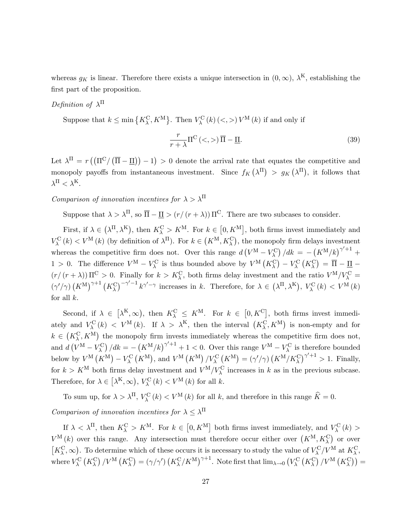whereas  $g_K$  is linear. Therefore there exists a unique intersection in  $(0, \infty)$ ,  $\lambda^K$ , establishing the first part of the proposition.

## Definition of  $\lambda^{\Pi}$

Suppose that  $k \le \min\left\{K_{\lambda}^{\text{C}}, K^{\text{M}}\right\}$ . Then  $V_{\lambda}^{\text{C}}(k) \left(<,>\right) V^{\text{M}}(k)$  if and only if

$$
\frac{r}{r+\lambda}\Pi^{\mathcal{C}}\left(\langle\cdot,\rangle\right)\overline{\Pi}-\underline{\Pi}.\tag{39}
$$

Let  $\lambda^{\Pi} = r ((\Pi^{C}/(\overline{\Pi} - \underline{\Pi})) - 1) > 0$  denote the arrival rate that equates the competitive and monopoly payoffs from instantaneous investment. Since  $f_K(\lambda^{\Pi}) > g_K(\lambda^{\Pi})$ , it follows that  $\lambda^{\Pi} < \lambda^{\mathrm{K}}.$ 

Comparison of innovation incentives for  $\lambda > \lambda^{\Pi}$ 

Suppose that  $\lambda > \lambda^{\Pi}$ , so  $\overline{\Pi} - \underline{\Pi} > (r/(r + \lambda)) \Pi^{\text{C}}$ . There are two subcases to consider.

First, if  $\lambda \in (\lambda^{II}, \lambda^{K})$ , then  $K_{\lambda}^{C} > K^{M}$ . For  $k \in [0, K^{M}]$ , both firms invest immediately and  $V_{\lambda}^{C}(k) < V^{M}(k)$  (by definition of  $\lambda^{H}$ ). For  $k \in (K^{M}, K_{\lambda}^{C})$ , the monopoly firm delays investment whereas the competitive firm does not. Over this range  $d(V^M - V_\lambda^C)/dk = -\left(K^M/k\right)^{\gamma'+1}$ 1 > 0. The difference  $V^{\text{M}} - V_{\lambda}^{\text{C}}$  is thus bounded above by  $V^{\text{M}}(K_{\lambda}^{\text{C}}) - V_{\lambda}^{\text{C}}(K_{\lambda}^{\text{C}}) = \overline{\Pi} - \underline{\Pi} (r/(r+\lambda))$   $\Pi^C > 0$ . Finally for  $k > K_{\lambda}^C$ , both firms delay investment and the ratio  $V^M/V_{\lambda}^C =$  $(\gamma'/\gamma) (K^{\mathcal{M}})^{\gamma+1} (K^{\mathcal{C}}_{\lambda})^{-\gamma'-1} k^{\gamma'-\gamma}$  increases in k. Therefore, for  $\lambda \in (\lambda^{\Pi}, \lambda^{\mathcal{K}})$ ,  $V^{\mathcal{C}}_{\lambda}(k) < V^{\mathcal{M}}(k)$ for all  $k$ .

Second, if  $\lambda \in [\lambda^{K}, \infty)$ , then  $K_{\lambda}^{C} \leq K^{M}$ . For  $k \in [0, K^{C}]$ , both firms invest immediately and  $V_{\lambda}^{C}(k) < V^{M}(k)$ . If  $\lambda > \lambda^{K}$ , then the interval  $(K_{\lambda}^{C}, K^{M})$  is non-empty and for  $k \in (K_{\lambda}^{\text{C}}, K^{\text{M}})$  the monopoly firm invests immediately whereas the competitive firm does not, and  $d(V^M - V_\lambda^C)/dk = -(K^M/k)^{\gamma'+1} + 1 < 0$ . Over this range  $V^M - V_\lambda^C$  is therefore bounded below by  $V^{\text{M}}(K^{\text{M}}) - V_{\lambda}^{\text{C}}(K^{\text{M}})$ , and  $V^{\text{M}}(K^{\text{M}}) / V_{\lambda}^{\text{C}}(K^{\text{M}}) = (\gamma'/\gamma) (K^{\text{M}}/K_{\lambda}^{\text{C}})^{\gamma'+1} > 1$ . Finally, for  $k > K^M$  both firms delay investment and  $V^M/V^C_\lambda$  increases in k as in the previous subcase. Therefore, for  $\lambda \in \left[\lambda^{\mathcal{K}}, \infty\right), V_{\lambda}^{\mathcal{C}}(k) < V^{\mathcal{M}}(k)$  for all k.

To sum up, for  $\lambda > \lambda^{\Pi}$ ,  $V_{\lambda}^{\mathcal{C}}(k) < V^{\mathcal{M}}(k)$  for all k, and therefore in this range  $\widehat{K} = 0$ . Comparison of innovation incentives for  $\lambda \leq \lambda^{\Pi}$ 

If  $\lambda < \lambda^{\Pi}$ , then  $K_{\lambda}^{\mathcal{C}} > K^{\mathcal{M}}$ . For  $k \in [0, K^{\mathcal{M}}]$  both firms invest immediately, and  $V_{\lambda}^{\mathcal{C}}(k)$  $V^{\rm M}(k)$  over this range. Any intersection must therefore occur either over  $(K^{\rm M}, K_{\lambda}^{\rm C})$  or over  $[K_{\lambda}^{\rm C}, \infty)$ . To determine which of these occurs it is necessary to study the value of  $V_{\lambda}^{\rm C}/V^{\rm M}$  at  $K_{\lambda}^{\rm C}$ , where  $V_{\lambda}^{\text{C}}\left(K_{\lambda}^{\text{C}}\right)/V^{\text{M}}\left(K_{\lambda}^{\text{C}}\right)=\left(\gamma/\gamma'\right)\left(K_{\lambda}^{\text{C}}/K^{\text{M}}\right)^{\gamma+1}$ . Note first that  $\lim_{\lambda\to 0}\left(V_{\lambda}^{\text{C}}\left(K_{\lambda}^{\text{C}}\right)/V^{\text{M}}\left(K_{\lambda}^{\text{C}}\right)\right)=$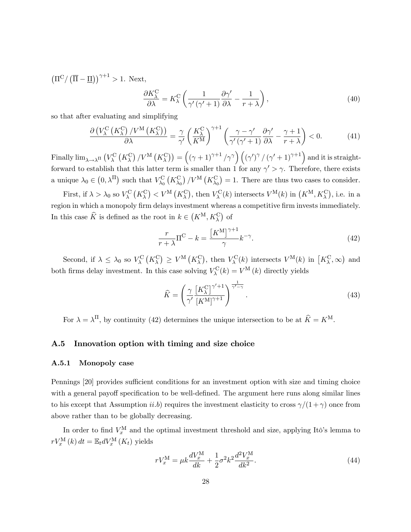$\left(\Pi^{\text{C}}/\left(\overline{\Pi} - \underline{\Pi}\right)\right)^{\gamma+1} > 1.$  Next,

$$
\frac{\partial K_{\lambda}^{\text{C}}}{\partial \lambda} = K_{\lambda}^{\text{C}} \left( \frac{1}{\gamma'(\gamma' + 1)} \frac{\partial \gamma'}{\partial \lambda} - \frac{1}{r + \lambda} \right),\tag{40}
$$

so that after evaluating and simplifying

$$
\frac{\partial \left( V_{\lambda}^{\text{C}} \left( K_{\lambda}^{\text{C}} \right) / V^{\text{M}} \left( K_{\lambda}^{\text{C}} \right) \right)}{\partial \lambda} = \frac{\gamma}{\gamma'} \left( \frac{K_{\lambda}^{\text{C}}}{K^{\text{M}}} \right)^{\gamma+1} \left( \frac{\gamma - \gamma'}{\gamma'(\gamma' + 1)} \frac{\partial \gamma'}{\partial \lambda} - \frac{\gamma + 1}{r + \lambda} \right) < 0. \tag{41}
$$

Finally  $\lim_{\lambda\to\lambda^{_\Pi}}\left(V^\text{C}_\lambda\left(K^\text{C}_\lambda\right)/V^\text{M}\left(K^\text{C}_\lambda\right)\right)=\left(\left(\gamma+1\right)^{\gamma+1}/\gamma^\gamma\right)\left(\left(\gamma'\right)^\gamma/\left(\gamma'+1\right)^{\gamma+1}\right)$  and it is straightforward to establish that this latter term is smaller than 1 for any  $\gamma' > \gamma$ . Therefore, there exists a unique  $\lambda_0 \in (0, \lambda^{\Pi})$  such that  $V_{\lambda_0}^{\text{C}}(K_{\lambda_0}^{\text{C}}) / V^{\text{M}}(K_{\lambda_0}^{\text{C}}) = 1$ . There are thus two cases to consider.

First, if  $\lambda > \lambda_0$  so  $V_\lambda^{\text{C}}(K_\lambda^{\text{C}}) < V^{\text{M}}(K_\lambda^{\text{C}})$ , then  $V_\lambda^{\text{C}}(k)$  intersects  $V^{\text{M}}(k)$  in  $(K^{\text{M}}, K_\lambda^{\text{C}})$ , i.e. in a region in which a monopoly firm delays investment whereas a competitive firm invests immediately. In this case  $\widehat{K}$  is defined as the root in  $k \in (K^{\mathcal{M}}, K_{\lambda}^{\mathcal{C}})$  of

$$
\frac{r}{r+\lambda}\Pi^{\mathcal{C}} - k = \frac{\left[K^{\mathcal{M}}\right]^{\gamma+1}}{\gamma}k^{-\gamma}.\tag{42}
$$

Second, if  $\lambda \leq \lambda_0$  so  $V_\lambda^{\text{C}}(K_\lambda^{\text{C}}) \geq V^{\text{M}}(K_\lambda^{\text{C}})$ , then  $V_\lambda^{\text{C}}(k)$  intersects  $V^{\text{M}}(k)$  in  $[K_\lambda^{\text{C}}, \infty)$  and both firms delay investment. In this case solving  $V_{\lambda}^{\text{C}}(k) = V^{\text{M}}(k)$  directly yields

$$
\widehat{K} = \left(\frac{\gamma}{\gamma'} \frac{\left[K_{\lambda}^{\text{C}}\right]^{\gamma'+1}}{\left[K^{\text{M}}\right]^{\gamma+1}}\right)^{\frac{1}{\gamma'-\gamma}}.
$$
\n(43)

For  $\lambda = \lambda^{\Pi}$ , by continuity (42) determines the unique intersection to be at  $\hat{K} = K^{\text{M}}$ .

#### A.5 Innovation option with timing and size choice

#### A.5.1 Monopoly case

Pennings [20] provides sufficient conditions for an investment option with size and timing choice with a general payoff specification to be well-defined. The argument here runs along similar lines to his except that Assumption *ii.b*) requires the investment elasticity to cross  $\gamma/(1+\gamma)$  once from above rather than to be globally decreasing.

In order to find  $V_x^{\text{M}}$  and the optimal investment threshold and size, applying Itô's lemma to  $rV_x^{\text{M}}(k) dt = \mathbb{E}_t dV_x^{\text{M}}(K_t)$  yields

$$
rV_x^{\rm M} = \mu k \frac{dV_x^{\rm M}}{dk} + \frac{1}{2} \sigma^2 k^2 \frac{d^2 V_x^{\rm M}}{dk^2}.
$$
\n(44)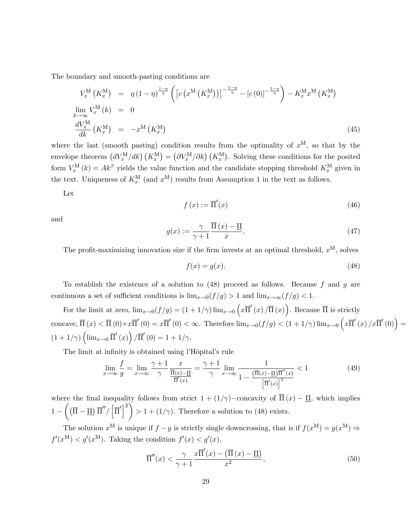The boundary and smooth-pasting conditions are

$$
V_x^{\mathcal{M}}\left(K_x^{\mathcal{M}}\right) = \eta \left(1-\eta\right)^{\frac{1-\eta}{\eta}} \left( \left[c\left(x^{\mathcal{M}}\left(K_x^{\mathcal{M}}\right)\right)\right]^{-\frac{1-\eta}{\eta}} - \left[c\left(0\right)\right]^{-\frac{1-\eta}{\eta}}\right) - K_x^{\mathcal{M}} x^{\mathcal{M}}\left(K_x^{\mathcal{M}}\right)
$$
  
\n
$$
\lim_{k \to \infty} V_x^{\mathcal{M}}\left(k\right) = 0
$$
  
\n
$$
\frac{dV_x^{\mathcal{M}}}{dk}\left(K_x^{\mathcal{M}}\right) = -x^{\mathcal{M}}\left(K_x^{\mathcal{M}}\right)
$$
\n(45)

where the last (smooth pasting) condition results from the optimality of  $x^M$ , so that by the envelope theorem  $(dV_x^M/dk)$   $(K_x^M) = (\partial V_x^M/\partial k)$   $(K_x^M)$ . Solving these conditions for the posited form  $V_x^{\text{M}}(k) = Ak^{\beta}$  yields the value function and the candidate stopping threshold  $K_x^{\text{M}}$  given in the text. Uniqueness of  $K_x^{\text{M}}$  (and  $x^{\text{M}}$ ) results from Assumption 1 in the text as follows.

Let

$$
f(x) := \overline{\Pi}'(x) \tag{46}
$$

and

$$
g(x) := \frac{\gamma}{\gamma + 1} \frac{\overline{\Pi}(x) - \underline{\Pi}}{x}.
$$
 (47)

The profit-maximizing innovation size if the firm invests at an optimal threshold,  $x^M$ , solves

$$
f(x) = g(x). \tag{48}
$$

To establish the existence of a solution to  $(48)$  proceed as follows. Because f and g are continuous a set of sufficient conditions is  $\lim_{x\to 0}(f/g) > 1$  and  $\lim_{x\to \infty}(f/g) < 1$ .

For the limit at zero,  $\lim_{x\to 0} (f/g) = (1 + 1/\gamma) \lim_{x\to 0} (x\overline{\Pi}'(x)/\overline{\Pi}(x))$ . Because  $\overline{\Pi}$  is strictly concave,  $\overline{\Pi}(x) < \overline{\Pi}(0) + x \overline{\Pi}'(0) = x \overline{\Pi}'(0) < \infty$ . Therefore  $\lim_{x\to 0} (f/g) < (1 + 1/\gamma) \lim_{x\to 0} (x \overline{\Pi}'(x) / x \overline{\Pi}'(0)) =$  $(1+1/\gamma)\left(\lim_{x\to 0} \overline{\Pi}'(x)\right)/\overline{\Pi}'(0) = 1+1/\gamma.$ 

The limit at infinity is obtained using l'Hôpital's rule

$$
\lim_{x \to \infty} \frac{f}{g} = \lim_{x \to \infty} \frac{\gamma + 1}{\gamma} \frac{x}{\frac{\overline{\Pi}(x) - \underline{\Pi}}{\overline{\Pi}'(x)}} = \frac{\gamma + 1}{\gamma} \lim_{x \to \infty} \frac{1}{1 - \frac{(\overline{\Pi}(x) - \underline{\Pi})\overline{\Pi}''(x)}{\left[\overline{\Pi}'(x)\right]^2}} < 1
$$
\n(49)

where the final inequality follows from strict  $1 + (1/\gamma)$ -concavity of  $\overline{\Pi}(x) - \underline{\Pi}$ , which implies  $1 \left(\left(\overline{\Pi}-\underline{\Pi}\right)\overline{\Pi}''/\left|\overline{\Pi}'\right|^2\right)$  $> 1 + (1/\gamma)$ . Therefore a solution to (48) exists.

The solution  $x^M$  is unique if  $f-g$  is strictly single downcrossing, that is if  $f(x^M) = g(x^M) \Rightarrow$  $f'(x^{\mathbf{M}}) < g'(x^{\mathbf{M}})$ . Taking the condition  $f'(x) < g'(x)$ ,

$$
\overline{\Pi}''(x) < \frac{\gamma}{\gamma + 1} \frac{x \overline{\Pi}'(x) - \left(\overline{\Pi}(x) - \underline{\Pi}\right)}{x^2},\tag{50}
$$